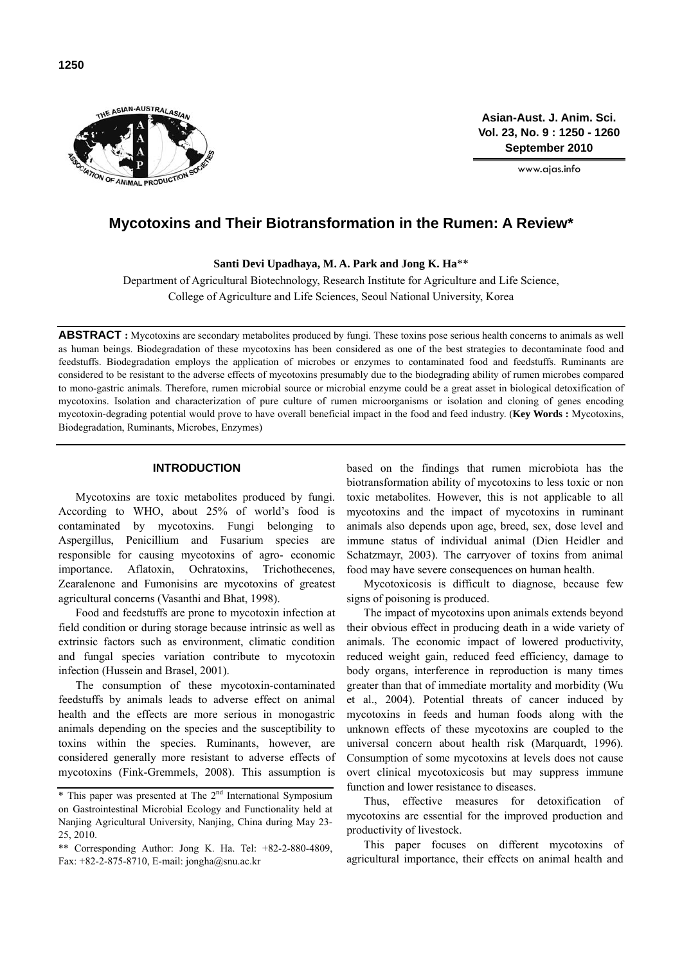

**Asian-Aust. J. Anim. Sci. Vol. 23, No. 9 : 1250 - 1260 September 2010**

www.ajas.info

# **Mycotoxins and Their Biotransformation in the Rumen: A Review\***

**Santi Devi Upadhaya, M. A. Park and Jong K. Ha**\*\*

Department of Agricultural Biotechnology, Research Institute for Agriculture and Life Science, College of Agriculture and Life Sciences, Seoul National University, Korea

**ABSTRACT :** Mycotoxins are secondary metabolites produced by fungi. These toxins pose serious health concerns to animals as well as human beings. Biodegradation of these mycotoxins has been considered as one of the best strategies to decontaminate food and feedstuffs. Biodegradation employs the application of microbes or enzymes to contaminated food and feedstuffs. Ruminants are considered to be resistant to the adverse effects of mycotoxins presumably due to the biodegrading ability of rumen microbes compared to mono-gastric animals. Therefore, rumen microbial source or microbial enzyme could be a great asset in biological detoxification of mycotoxins. Isolation and characterization of pure culture of rumen microorganisms or isolation and cloning of genes encoding mycotoxin-degrading potential would prove to have overall beneficial impact in the food and feed industry. (**Key Words :** Mycotoxins, Biodegradation, Ruminants, Microbes, Enzymes)

### **INTRODUCTION**

Mycotoxins are toxic metabolites produced by fungi. According to WHO, about 25% of world's food is contaminated by mycotoxins. Fungi belonging to Aspergillus, Penicillium and Fusarium species are responsible for causing mycotoxins of agro- economic importance. Aflatoxin, Ochratoxins, Trichothecenes, Zearalenone and Fumonisins are mycotoxins of greatest agricultural concerns (Vasanthi and Bhat, 1998).

Food and feedstuffs are prone to mycotoxin infection at field condition or during storage because intrinsic as well as extrinsic factors such as environment, climatic condition and fungal species variation contribute to mycotoxin infection (Hussein and Brasel, 2001).

The consumption of these mycotoxin-contaminated feedstuffs by animals leads to adverse effect on animal health and the effects are more serious in monogastric animals depending on the species and the susceptibility to toxins within the species. Ruminants, however, are considered generally more resistant to adverse effects of mycotoxins (Fink-Gremmels, 2008). This assumption is based on the findings that rumen microbiota has the biotransformation ability of mycotoxins to less toxic or non toxic metabolites. However, this is not applicable to all mycotoxins and the impact of mycotoxins in ruminant animals also depends upon age, breed, sex, dose level and immune status of individual animal (Dien Heidler and Schatzmayr, 2003). The carryover of toxins from animal food may have severe consequences on human health.

Mycotoxicosis is difficult to diagnose, because few signs of poisoning is produced.

The impact of mycotoxins upon animals extends beyond their obvious effect in producing death in a wide variety of animals. The economic impact of lowered productivity, reduced weight gain, reduced feed efficiency, damage to body organs, interference in reproduction is many times greater than that of immediate mortality and morbidity (Wu et al., 2004). Potential threats of cancer induced by mycotoxins in feeds and human foods along with the unknown effects of these mycotoxins are coupled to the universal concern about health risk (Marquardt, 1996). Consumption of some mycotoxins at levels does not cause overt clinical mycotoxicosis but may suppress immune function and lower resistance to diseases.

Thus, effective measures for detoxification of mycotoxins are essential for the improved production and productivity of livestock.

This paper focuses on different mycotoxins of agricultural importance, their effects on animal health and

 $*$  This paper was presented at The  $2<sup>nd</sup>$  International Symposium on Gastrointestinal Microbial Ecology and Functionality held at Nanjing Agricultural University, Nanjing, China during May 23- 25, 2010.

<sup>\*\*</sup> Corresponding Author: Jong K. Ha. Tel: +82-2-880-4809, Fax:  $+82-2-875-8710$ , E-mail: jongha@snu.ac.kr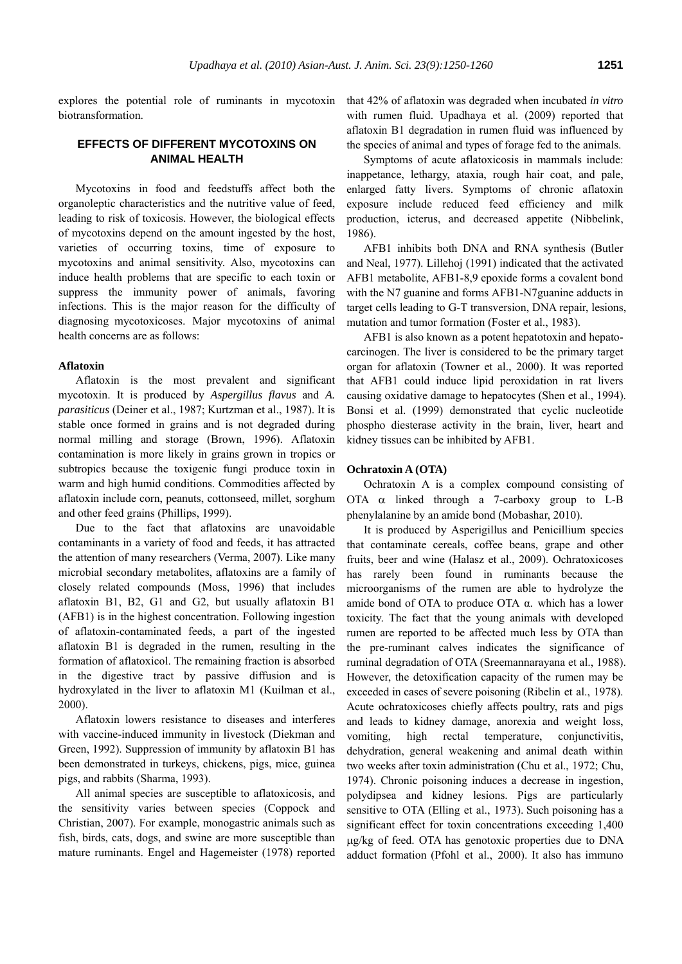explores the potential role of ruminants in mycotoxin biotransformation.

# **EFFECTS OF DIFFERENT MYCOTOXINS ON ANIMAL HEALTH**

Mycotoxins in food and feedstuffs affect both the organoleptic characteristics and the nutritive value of feed, leading to risk of toxicosis. However, the biological effects of mycotoxins depend on the amount ingested by the host, varieties of occurring toxins, time of exposure to mycotoxins and animal sensitivity. Also, mycotoxins can induce health problems that are specific to each toxin or suppress the immunity power of animals, favoring infections. This is the major reason for the difficulty of diagnosing mycotoxicoses. Major mycotoxins of animal health concerns are as follows:

#### **Aflatoxin**

Aflatoxin is the most prevalent and significant mycotoxin. It is produced by *Aspergillus flavus* and *A. parasiticus* (Deiner et al., 1987; Kurtzman et al., 1987). It is stable once formed in grains and is not degraded during normal milling and storage (Brown, 1996). Aflatoxin contamination is more likely in grains grown in tropics or subtropics because the toxigenic fungi produce toxin in warm and high humid conditions. Commodities affected by aflatoxin include corn, peanuts, cottonseed, millet, sorghum and other feed grains (Phillips, 1999).

Due to the fact that aflatoxins are unavoidable contaminants in a variety of food and feeds, it has attracted the attention of many researchers (Verma, 2007). Like many microbial secondary metabolites, aflatoxins are a family of closely related compounds (Moss, 1996) that includes aflatoxin B1, B2, G1 and G2, but usually aflatoxin B1 (AFB1) is in the highest concentration. Following ingestion of aflatoxin-contaminated feeds, a part of the ingested aflatoxin B1 is degraded in the rumen, resulting in the formation of aflatoxicol. The remaining fraction is absorbed in the digestive tract by passive diffusion and is hydroxylated in the liver to aflatoxin M1 (Kuilman et al., 2000).

Aflatoxin lowers resistance to diseases and interferes with vaccine-induced immunity in livestock (Diekman and Green, 1992). Suppression of immunity by aflatoxin B1 has been demonstrated in turkeys, chickens, pigs, mice, guinea pigs, and rabbits (Sharma, 1993).

All animal species are susceptible to aflatoxicosis, and the sensitivity varies between species (Coppock and Christian, 2007). For example, monogastric animals such as fish, birds, cats, dogs, and swine are more susceptible than mature ruminants. Engel and Hagemeister (1978) reported that 42% of aflatoxin was degraded when incubated *in vitro* with rumen fluid. Upadhaya et al. (2009) reported that aflatoxin B1 degradation in rumen fluid was influenced by the species of animal and types of forage fed to the animals.

Symptoms of acute aflatoxicosis in mammals include: inappetance, lethargy, ataxia, rough hair coat, and pale, enlarged fatty livers. Symptoms of chronic aflatoxin exposure include reduced feed efficiency and milk production, icterus, and decreased appetite (Nibbelink, 1986).

AFB1 inhibits both DNA and RNA synthesis (Butler and Neal, 1977). Lillehoj (1991) indicated that the activated AFB1 metabolite, AFB1-8,9 epoxide forms a covalent bond with the N7 guanine and forms AFB1-N7guanine adducts in target cells leading to G-T transversion, DNA repair, lesions, mutation and tumor formation (Foster et al., 1983).

AFB1 is also known as a potent hepatotoxin and hepatocarcinogen. The liver is considered to be the primary target organ for aflatoxin (Towner et al., 2000). It was reported that AFB1 could induce lipid peroxidation in rat livers causing oxidative damage to hepatocytes (Shen et al., 1994). Bonsi et al. (1999) demonstrated that cyclic nucleotide phospho diesterase activity in the brain, liver, heart and kidney tissues can be inhibited by AFB1.

## **Ochratoxin A (OTA)**

Ochratoxin A is a complex compound consisting of OTA  $\alpha$  linked through a 7-carboxy group to L-B phenylalanine by an amide bond (Mobashar, 2010).

It is produced by Asperigillus and Penicillium species that contaminate cereals, coffee beans, grape and other fruits, beer and wine (Halasz et al., 2009). Ochratoxicoses has rarely been found in ruminants because the microorganisms of the rumen are able to hydrolyze the amide bond of OTA to produce OTA α. which has a lower toxicity. The fact that the young animals with developed rumen are reported to be affected much less by OTA than the pre-ruminant calves indicates the significance of ruminal degradation of OTA (Sreemannarayana et al., 1988). However, the detoxification capacity of the rumen may be exceeded in cases of severe poisoning (Ribelin et al., 1978). Acute ochratoxicoses chiefly affects poultry, rats and pigs and leads to kidney damage, anorexia and weight loss, vomiting, high rectal temperature, conjunctivitis, dehydration, general weakening and animal death within two weeks after toxin administration (Chu et al., 1972; Chu, 1974). Chronic poisoning induces a decrease in ingestion, polydipsea and kidney lesions. Pigs are particularly sensitive to OTA (Elling et al., 1973). Such poisoning has a significant effect for toxin concentrations exceeding 1,400 μg/kg of feed. OTA has genotoxic properties due to DNA adduct formation (Pfohl et al., 2000). It also has immuno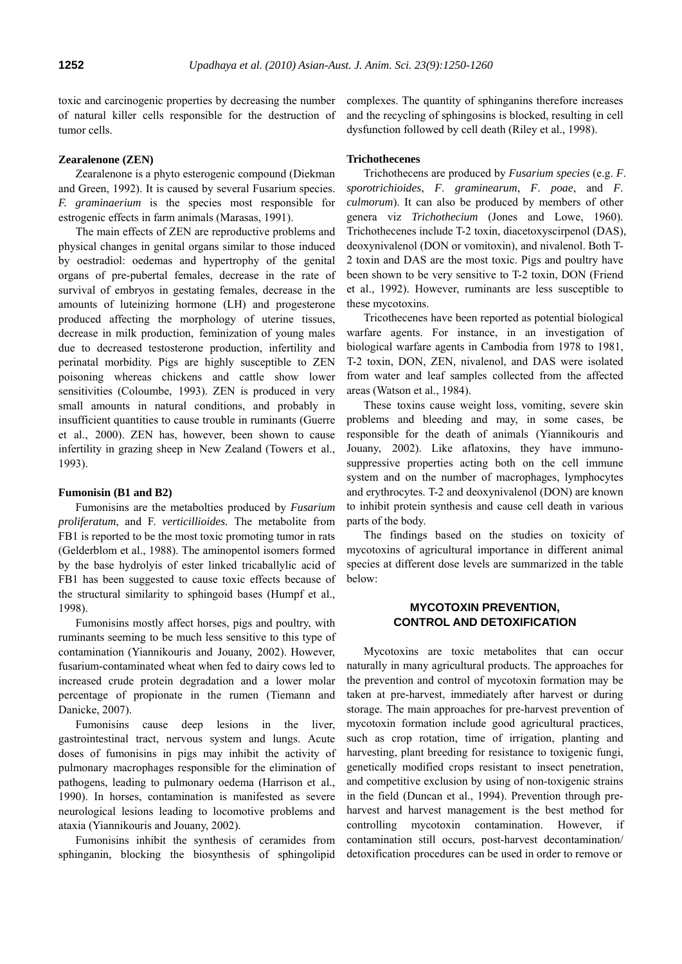toxic and carcinogenic properties by decreasing the number of natural killer cells responsible for the destruction of tumor cells.

### **Zearalenone (ZEN)**

Zearalenone is a phyto esterogenic compound (Diekman and Green, 1992). It is caused by several Fusarium species. *F. graminaerium* is the species most responsible for estrogenic effects in farm animals (Marasas, 1991).

The main effects of ZEN are reproductive problems and physical changes in genital organs similar to those induced by oestradiol: oedemas and hypertrophy of the genital organs of pre-pubertal females, decrease in the rate of survival of embryos in gestating females, decrease in the amounts of luteinizing hormone (LH) and progesterone produced affecting the morphology of uterine tissues, decrease in milk production, feminization of young males due to decreased testosterone production, infertility and perinatal morbidity. Pigs are highly susceptible to ZEN poisoning whereas chickens and cattle show lower sensitivities (Coloumbe, 1993). ZEN is produced in very small amounts in natural conditions, and probably in insufficient quantities to cause trouble in ruminants (Guerre et al., 2000). ZEN has, however, been shown to cause infertility in grazing sheep in New Zealand (Towers et al., 1993).

#### **Fumonisin (B1 and B2)**

Fumonisins are the metabolties produced by *Fusarium proliferatum*, and F. *verticillioides.* The metabolite from FB1 is reported to be the most toxic promoting tumor in rats (Gelderblom et al., 1988). The aminopentol isomers formed by the base hydrolyis of ester linked tricaballylic acid of FB1 has been suggested to cause toxic effects because of the structural similarity to sphingoid bases (Humpf et al., 1998).

Fumonisins mostly affect horses, pigs and poultry, with ruminants seeming to be much less sensitive to this type of contamination (Yiannikouris and Jouany, 2002). However, fusarium-contaminated wheat when fed to dairy cows led to increased crude protein degradation and a lower molar percentage of propionate in the rumen (Tiemann and Danicke, 2007).

Fumonisins cause deep lesions in the liver, gastrointestinal tract, nervous system and lungs. Acute doses of fumonisins in pigs may inhibit the activity of pulmonary macrophages responsible for the elimination of pathogens, leading to pulmonary oedema (Harrison et al., 1990). In horses, contamination is manifested as severe neurological lesions leading to locomotive problems and ataxia (Yiannikouris and Jouany, 2002).

Fumonisins inhibit the synthesis of ceramides from sphinganin, blocking the biosynthesis of sphingolipid complexes. The quantity of sphinganins therefore increases and the recycling of sphingosins is blocked, resulting in cell dysfunction followed by cell death (Riley et al., 1998).

### **Trichothecenes**

Trichothecens are produced by *Fusarium species* (e.g. *F*. *sporotrichioides*, *F*. *graminearum*, *F*. *poae*, and *F*. *culmorum*). It can also be produced by members of other genera viz *Trichothecium* (Jones and Lowe, 1960). Trichothecenes include T-2 toxin, diacetoxyscirpenol (DAS), deoxynivalenol (DON or vomitoxin), and nivalenol. Both T-2 toxin and DAS are the most toxic. Pigs and poultry have been shown to be very sensitive to T-2 toxin, DON (Friend et al., 1992). However, ruminants are less susceptible to these mycotoxins.

Tricothecenes have been reported as potential biological warfare agents. For instance, in an investigation of biological warfare agents in Cambodia from 1978 to 1981, T-2 toxin, DON, ZEN, nivalenol, and DAS were isolated from water and leaf samples collected from the affected areas (Watson et al., 1984).

These toxins cause weight loss, vomiting, severe skin problems and bleeding and may, in some cases, be responsible for the death of animals (Yiannikouris and Jouany, 2002). Like aflatoxins, they have immunosuppressive properties acting both on the cell immune system and on the number of macrophages, lymphocytes and erythrocytes. T-2 and deoxynivalenol (DON) are known to inhibit protein synthesis and cause cell death in various parts of the body.

The findings based on the studies on toxicity of mycotoxins of agricultural importance in different animal species at different dose levels are summarized in the table below:

# **MYCOTOXIN PREVENTION, CONTROL AND DETOXIFICATION**

Mycotoxins are toxic metabolites that can occur naturally in many agricultural products. The approaches for the prevention and control of mycotoxin formation may be taken at pre-harvest, immediately after harvest or during storage. The main approaches for pre-harvest prevention of mycotoxin formation include good agricultural practices, such as crop rotation, time of irrigation, planting and harvesting, plant breeding for resistance to toxigenic fungi, genetically modified crops resistant to insect penetration, and competitive exclusion by using of non-toxigenic strains in the field (Duncan et al., 1994). Prevention through preharvest and harvest management is the best method for controlling mycotoxin contamination. However, if contamination still occurs, post-harvest decontamination/ detoxification procedures can be used in order to remove or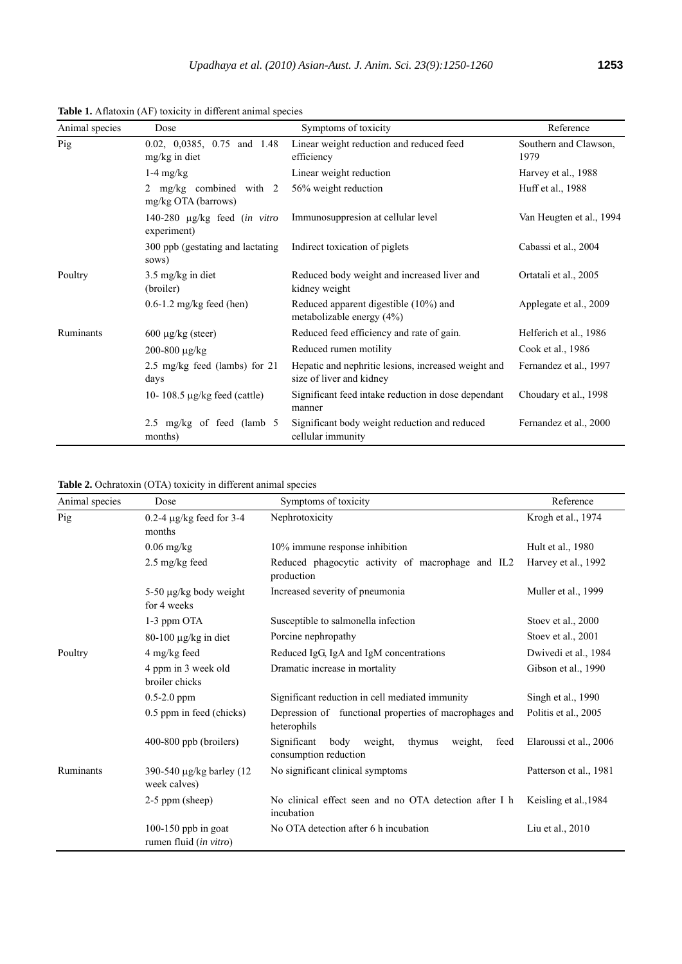| Animal species | Dose                                           | Symptoms of toxicity                                                            | Reference                     |
|----------------|------------------------------------------------|---------------------------------------------------------------------------------|-------------------------------|
| Pig            | 0.02, 0,0385, 0.75 and 1.48<br>mg/kg in diet   | Linear weight reduction and reduced feed<br>efficiency                          | Southern and Clawson,<br>1979 |
|                | $1-4$ mg/kg                                    | Linear weight reduction                                                         | Harvey et al., 1988           |
|                | 2 mg/kg combined with 2<br>mg/kg OTA (barrows) | 56% weight reduction                                                            | Huff et al., 1988             |
|                | 140-280 µg/kg feed (in vitro<br>experiment)    | Immunosuppresion at cellular level                                              | Van Heugten et al., 1994      |
|                | 300 ppb (gestating and lactating<br>sows)      | Indirect toxication of piglets                                                  | Cabassi et al., 2004          |
| Poultry        | $3.5 \text{ mg/kg}$ in diet<br>(broiler)       | Reduced body weight and increased liver and<br>kidney weight                    | Ortatali et al., 2005         |
|                | $0.6 - 1.2$ mg/kg feed (hen)                   | Reduced apparent digestible (10%) and<br>metabolizable energy $(4%)$            | Applegate et al., 2009        |
| Ruminants      | $600 \mu g/kg$ (steer)                         | Reduced feed efficiency and rate of gain.                                       | Helferich et al., 1986        |
|                | 200-800 µg/kg                                  | Reduced rumen motility                                                          | Cook et al., 1986             |
|                | 2.5 mg/kg feed (lambs) for 21<br>days          | Hepatic and nephritic lesions, increased weight and<br>size of liver and kidney | Fernandez et al., 1997        |
|                | 10-108.5 $\mu$ g/kg feed (cattle)              | Significant feed intake reduction in dose dependant<br>manner                   | Choudary et al., 1998         |
|                | 2.5 mg/kg of feed (lamb $5$ )<br>months)       | Significant body weight reduction and reduced<br>cellular immunity              | Fernandez et al., 2000        |

**Table 1.** Aflatoxin (AF) toxicity in different animal species

**Table 2.** Ochratoxin (OTA) toxicity in different animal species

| Animal species | Dose                                          | Symptoms of toxicity                                                                 | Reference              |
|----------------|-----------------------------------------------|--------------------------------------------------------------------------------------|------------------------|
| Pig            | $0.2-4 \mu g/kg$ feed for 3-4<br>months       | Nephrotoxicity                                                                       | Krogh et al., 1974     |
|                | $0.06$ mg/kg                                  | 10% immune response inhibition                                                       | Hult et al., 1980      |
|                | 2.5 mg/kg feed                                | Reduced phagocytic activity of macrophage and IL2<br>production                      | Harvey et al., 1992    |
|                | 5-50 µg/kg body weight<br>for 4 weeks         | Increased severity of pneumonia                                                      | Muller et al., 1999    |
|                | 1-3 ppm OTA                                   | Susceptible to salmonella infection                                                  | Stoev et al., 2000     |
|                | $80-100 \mu g/kg$ in diet                     | Porcine nephropathy                                                                  | Stoev et al., 2001     |
| Poultry        | 4 mg/kg feed                                  | Reduced IgG, IgA and IgM concentrations                                              | Dwivedi et al., 1984   |
|                | 4 ppm in 3 week old<br>broiler chicks         | Dramatic increase in mortality                                                       | Gibson et al., 1990    |
|                | $0.5 - 2.0$ ppm                               | Significant reduction in cell mediated immunity                                      | Singh et al., 1990     |
|                | 0.5 ppm in feed (chicks)                      | Depression of functional properties of macrophages and<br>heterophils                | Politis et al., 2005   |
|                | 400-800 ppb (broilers)                        | Significant<br>body<br>thymus<br>weight,<br>feed<br>weight,<br>consumption reduction | Elaroussi et al., 2006 |
| Ruminants      | 390-540 μg/kg barley (12<br>week calves)      | No significant clinical symptoms                                                     | Patterson et al., 1981 |
|                | $2-5$ ppm (sheep)                             | No clinical effect seen and no OTA detection after I h<br>incubation                 | Keisling et al., 1984  |
|                | 100-150 ppb in goat<br>rumen fluid (in vitro) | No OTA detection after 6 h incubation                                                | Liu et al., 2010       |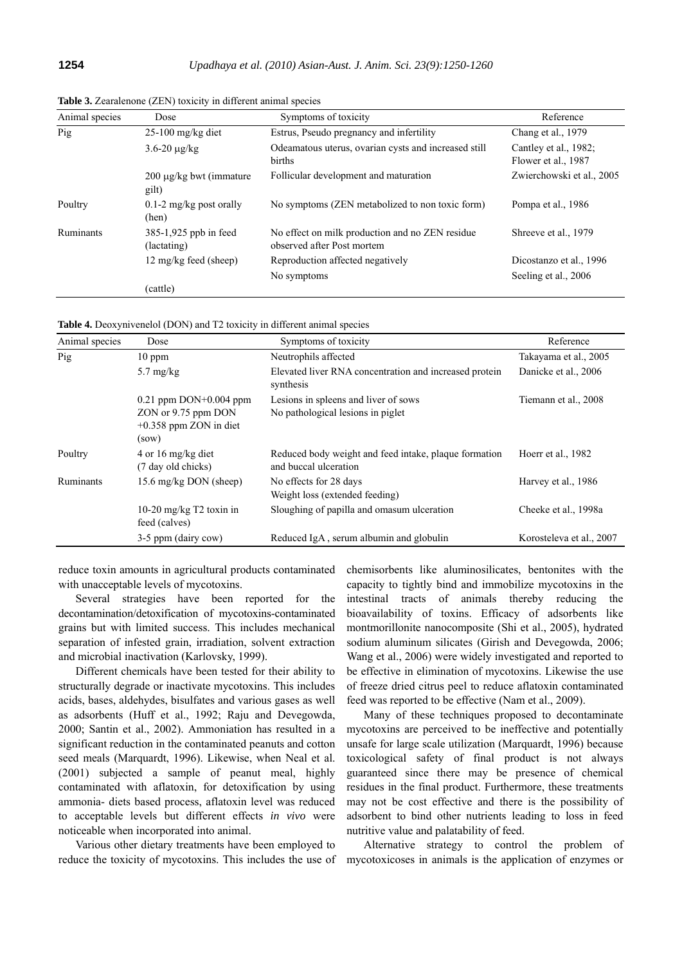| Animal species | Dose                                  | Symptoms of toxicity                                                          | Reference                                    |
|----------------|---------------------------------------|-------------------------------------------------------------------------------|----------------------------------------------|
| Pig            | $25-100$ mg/kg diet                   | Estrus, Pseudo pregnancy and infertility                                      | Chang et al., 1979                           |
|                | $3.6 - 20 \mu g/kg$                   | Odeamatous uterus, ovarian cysts and increased still<br>births                | Cantley et al., 1982;<br>Flower et al., 1987 |
|                | $200 \mu$ g/kg bwt (immature<br>gilt) | Follicular development and maturation                                         | Zwierchowski et al., 2005                    |
| Poultry        | $0.1$ -2 mg/kg post orally<br>(hen)   | No symptoms (ZEN metabolized to non toxic form)                               | Pompa et al., 1986                           |
| Ruminants      | 385-1,925 ppb in feed<br>(lactating)  | No effect on milk production and no ZEN residue<br>observed after Post mortem | Shreeve et al., 1979                         |
|                | 12 mg/kg feed (sheep)                 | Reproduction affected negatively                                              | Dicostanzo et al., 1996                      |
|                |                                       | No symptoms                                                                   | Seeling et al., 2006                         |
|                | (cattle)                              |                                                                               |                                              |

**Table 3.** Zearalenone (ZEN) toxicity in different animal species

**Table 4.** Deoxynivenelol (DON) and T2 toxicity in different animal species

| Animal species | Dose                                                                                    | Symptoms of toxicity                                                           | Reference                |
|----------------|-----------------------------------------------------------------------------------------|--------------------------------------------------------------------------------|--------------------------|
| Pig            | $10$ ppm                                                                                | Neutrophils affected                                                           | Takayama et al., 2005    |
|                | $5.7 \text{ mg/kg}$                                                                     | Elevated liver RNA concentration and increased protein<br>synthesis            | Danicke et al., 2006     |
|                | $0.21$ ppm DON+ $0.004$ ppm<br>ZON or 9.75 ppm DON<br>$+0.358$ ppm ZON in diet<br>(sow) | Lesions in spleens and liver of sows<br>No pathological lesions in piglet      | Tiemann et al., 2008     |
| Poultry        | 4 or 16 mg/kg diet<br>(7 day old chicks)                                                | Reduced body weight and feed intake, plaque formation<br>and buccal ulceration | Hoerr et al., 1982       |
| Ruminants      | 15.6 mg/kg DON (sheep)                                                                  | No effects for 28 days<br>Weight loss (extended feeding)                       | Harvey et al., 1986      |
|                | 10-20 mg/kg $T2$ toxin in<br>feed (calves)                                              | Sloughing of papilla and omasum ulceration                                     | Cheeke et al., 1998a     |
|                | 3-5 ppm (dairy cow)                                                                     | Reduced IgA, serum albumin and globulin                                        | Korosteleva et al., 2007 |

reduce toxin amounts in agricultural products contaminated with unacceptable levels of mycotoxins.

Several strategies have been reported for the decontamination/detoxification of mycotoxins-contaminated grains but with limited success. This includes mechanical separation of infested grain, irradiation, solvent extraction and microbial inactivation (Karlovsky, 1999).

Different chemicals have been tested for their ability to structurally degrade or inactivate mycotoxins. This includes acids, bases, aldehydes, bisulfates and various gases as well as adsorbents (Huff et al., 1992; Raju and Devegowda, 2000; Santin et al., 2002). Ammoniation has resulted in a significant reduction in the contaminated peanuts and cotton seed meals (Marquardt, 1996). Likewise, when Neal et al. (2001) subjected a sample of peanut meal, highly contaminated with aflatoxin, for detoxification by using ammonia- diets based process, aflatoxin level was reduced to acceptable levels but different effects *in vivo* were noticeable when incorporated into animal.

Various other dietary treatments have been employed to reduce the toxicity of mycotoxins. This includes the use of chemisorbents like aluminosilicates, bentonites with the capacity to tightly bind and immobilize mycotoxins in the intestinal tracts of animals thereby reducing the bioavailability of toxins. Efficacy of adsorbents like montmorillonite nanocomposite (Shi et al., 2005), hydrated sodium aluminum silicates (Girish and Devegowda, 2006; Wang et al., 2006) were widely investigated and reported to be effective in elimination of mycotoxins. Likewise the use of freeze dried citrus peel to reduce aflatoxin contaminated feed was reported to be effective (Nam et al., 2009).

Many of these techniques proposed to decontaminate mycotoxins are perceived to be ineffective and potentially unsafe for large scale utilization (Marquardt, 1996) because toxicological safety of final product is not always guaranteed since there may be presence of chemical residues in the final product. Furthermore, these treatments may not be cost effective and there is the possibility of adsorbent to bind other nutrients leading to loss in feed nutritive value and palatability of feed.

Alternative strategy to control the problem of mycotoxicoses in animals is the application of enzymes or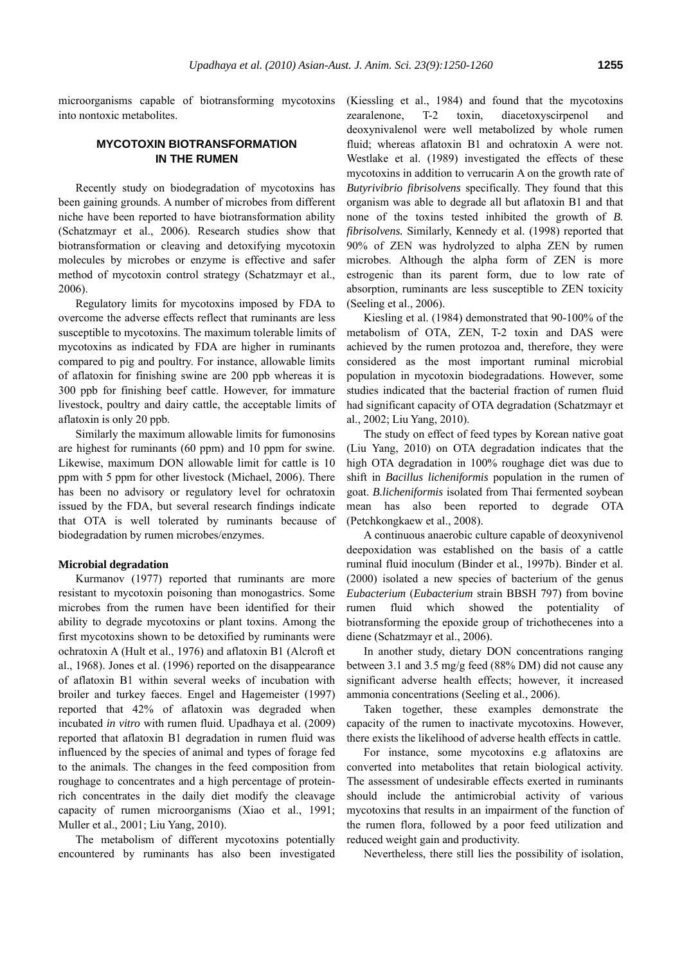microorganisms capable of biotransforming mycotoxins into nontoxic metabolites.

# **MYCOTOXIN BIOTRANSFORMATION IN THE RUMEN**

Recently study on biodegradation of mycotoxins has been gaining grounds. A number of microbes from different niche have been reported to have biotransformation ability (Schatzmayr et al., 2006). Research studies show that biotransformation or cleaving and detoxifying mycotoxin molecules by microbes or enzyme is effective and safer method of mycotoxin control strategy (Schatzmayr et al., 2006).

Regulatory limits for mycotoxins imposed by FDA to overcome the adverse effects reflect that ruminants are less susceptible to mycotoxins. The maximum tolerable limits of mycotoxins as indicated by FDA are higher in ruminants compared to pig and poultry. For instance, allowable limits of aflatoxin for finishing swine are 200 ppb whereas it is 300 ppb for finishing beef cattle. However, for immature livestock, poultry and dairy cattle, the acceptable limits of aflatoxin is only 20 ppb.

Similarly the maximum allowable limits for fumonosins are highest for ruminants (60 ppm) and 10 ppm for swine. Likewise, maximum DON allowable limit for cattle is 10 ppm with 5 ppm for other livestock (Michael, 2006). There has been no advisory or regulatory level for ochratoxin issued by the FDA, but several research findings indicate that OTA is well tolerated by ruminants because of biodegradation by rumen microbes/enzymes.

#### **Microbial degradation**

Kurmanov (1977) reported that ruminants are more resistant to mycotoxin poisoning than monogastrics. Some microbes from the rumen have been identified for their ability to degrade mycotoxins or plant toxins. Among the first mycotoxins shown to be detoxified by ruminants were ochratoxin A (Hult et al., 1976) and aflatoxin B1 (Alcroft et al., 1968). Jones et al. (1996) reported on the disappearance of aflatoxin B1 within several weeks of incubation with broiler and turkey faeces. Engel and Hagemeister (1997) reported that 42% of aflatoxin was degraded when incubated *in vitro* with rumen fluid. Upadhaya et al. (2009) reported that aflatoxin B1 degradation in rumen fluid was influenced by the species of animal and types of forage fed to the animals. The changes in the feed composition from roughage to concentrates and a high percentage of proteinrich concentrates in the daily diet modify the cleavage capacity of rumen microorganisms (Xiao et al., 1991; Muller et al., 2001; Liu Yang, 2010).

The metabolism of different mycotoxins potentially encountered by ruminants has also been investigated

(Kiessling et al., 1984) and found that the mycotoxins zearalenone, T-2 toxin, diacetoxyscirpenol deoxynivalenol were well metabolized by whole rumen fluid; whereas aflatoxin B1 and ochratoxin A were not. Westlake et al. (1989) investigated the effects of these mycotoxins in addition to verrucarin A on the growth rate of *Butyrivibrio fibrisolvens* specifically. They found that this organism was able to degrade all but aflatoxin B1 and that none of the toxins tested inhibited the growth of *B. fibrisolvens.* Similarly, Kennedy et al. (1998) reported that 90% of ZEN was hydrolyzed to alpha ZEN by rumen microbes. Although the alpha form of ZEN is more estrogenic than its parent form, due to low rate of absorption, ruminants are less susceptible to ZEN toxicity (Seeling et al., 2006).

Kiesling et al. (1984) demonstrated that 90-100% of the metabolism of OTA, ZEN, T-2 toxin and DAS were achieved by the rumen protozoa and, therefore, they were considered as the most important ruminal microbial population in mycotoxin biodegradations. However, some studies indicated that the bacterial fraction of rumen fluid had significant capacity of OTA degradation (Schatzmayr et al., 2002; Liu Yang, 2010).

The study on effect of feed types by Korean native goat (Liu Yang, 2010) on OTA degradation indicates that the high OTA degradation in 100% roughage diet was due to shift in *Bacillus licheniformis* population in the rumen of goat. *B.licheniformis* isolated from Thai fermented soybean mean has also been reported to degrade OTA (Petchkongkaew et al., 2008).

A continuous anaerobic culture capable of deoxynivenol deepoxidation was established on the basis of a cattle ruminal fluid inoculum (Binder et al*.*, 1997b). Binder et al. (2000) isolated a new species of bacterium of the genus *Eubacterium* (*Eubacterium* strain BBSH 797) from bovine rumen fluid which showed the potentiality of biotransforming the epoxide group of trichothecenes into a diene (Schatzmayr et al., 2006).

In another study, dietary DON concentrations ranging between 3.1 and 3.5 mg/g feed (88% DM) did not cause any significant adverse health effects; however, it increased ammonia concentrations (Seeling et al., 2006).

Taken together, these examples demonstrate the capacity of the rumen to inactivate mycotoxins. However, there exists the likelihood of adverse health effects in cattle.

For instance, some mycotoxins e.g aflatoxins are converted into metabolites that retain biological activity. The assessment of undesirable effects exerted in ruminants should include the antimicrobial activity of various mycotoxins that results in an impairment of the function of the rumen flora, followed by a poor feed utilization and reduced weight gain and productivity.

Nevertheless, there still lies the possibility of isolation,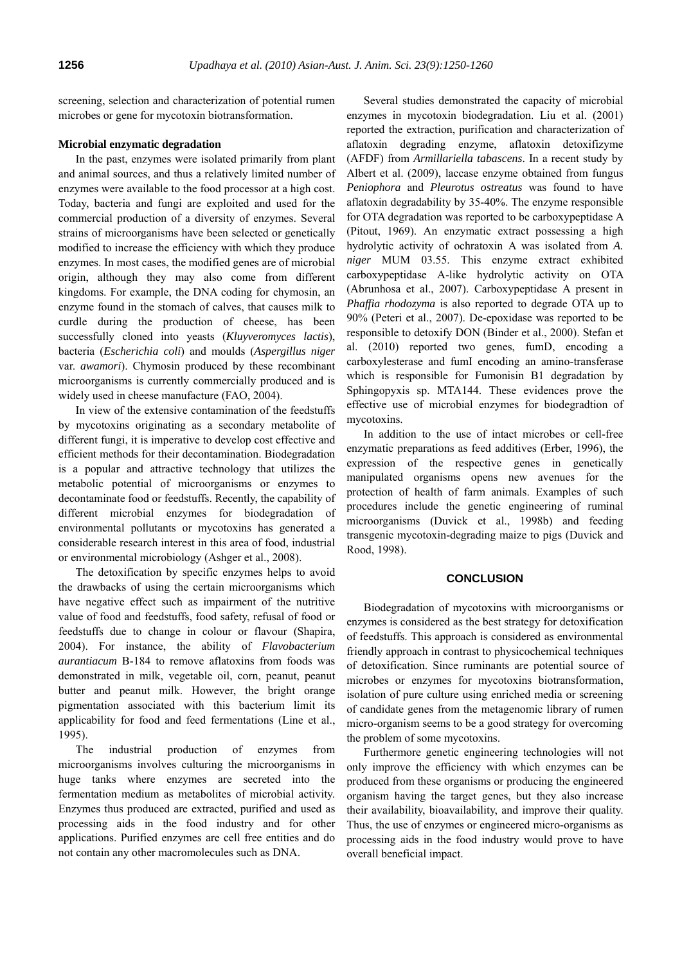screening, selection and characterization of potential rumen microbes or gene for mycotoxin biotransformation.

### **Microbial enzymatic degradation**

In the past, enzymes were isolated primarily from plant and animal sources, and thus a relatively limited number of enzymes were available to the food processor at a high cost. Today, bacteria and fungi are exploited and used for the commercial production of a diversity of enzymes. Several strains of microorganisms have been selected or genetically modified to increase the efficiency with which they produce enzymes. In most cases, the modified genes are of microbial origin, although they may also come from different kingdoms. For example, the DNA coding for chymosin, an enzyme found in the stomach of calves, that causes milk to curdle during the production of cheese, has been successfully cloned into yeasts (*Kluyveromyces lactis*), bacteria (*Escherichia coli*) and moulds (*Aspergillus niger* var. *awamori*). Chymosin produced by these recombinant microorganisms is currently commercially produced and is widely used in cheese manufacture (FAO, 2004).

In view of the extensive contamination of the feedstuffs by mycotoxins originating as a secondary metabolite of different fungi, it is imperative to develop cost effective and efficient methods for their decontamination. Biodegradation is a popular and attractive technology that utilizes the metabolic potential of microorganisms or enzymes to decontaminate food or feedstuffs. Recently, the capability of different microbial enzymes for biodegradation of environmental pollutants or mycotoxins has generated a considerable research interest in this area of food, industrial or environmental microbiology (Ashger et al., 2008).

The detoxification by specific enzymes helps to avoid the drawbacks of using the certain microorganisms which have negative effect such as impairment of the nutritive value of food and feedstuffs, food safety, refusal of food or feedstuffs due to change in colour or flavour (Shapira, 2004). For instance, the ability of *Flavobacterium aurantiacum* B-184 to remove aflatoxins from foods was demonstrated in milk, vegetable oil, corn, peanut, peanut butter and peanut milk. However, the bright orange pigmentation associated with this bacterium limit its applicability for food and feed fermentations (Line et al., 1995).

The industrial production of enzymes from microorganisms involves culturing the microorganisms in huge tanks where enzymes are secreted into the fermentation medium as metabolites of microbial activity. Enzymes thus produced are extracted, purified and used as processing aids in the food industry and for other applications. Purified enzymes are cell free entities and do not contain any other macromolecules such as DNA.

Several studies demonstrated the capacity of microbial enzymes in mycotoxin biodegradation. Liu et al. (2001) reported the extraction, purification and characterization of aflatoxin degrading enzyme, aflatoxin detoxifizyme (AFDF) from *Armillariella tabascens*. In a recent study by Albert et al. (2009), laccase enzyme obtained from fungus *Peniophora* and *Pleurotus ostreatus* was found to have aflatoxin degradability by 35-40%. The enzyme responsible for OTA degradation was reported to be carboxypeptidase A (Pitout, 1969). An enzymatic extract possessing a high hydrolytic activity of ochratoxin A was isolated from *A. niger* MUM 03.55. This enzyme extract exhibited carboxypeptidase A-like hydrolytic activity on OTA (Abrunhosa et al., 2007). Carboxypeptidase A present in *Phaffia rhodozyma* is also reported to degrade OTA up to 90% (Peteri et al., 2007). De-epoxidase was reported to be responsible to detoxify DON (Binder et al., 2000). Stefan et al. (2010) reported two genes, fumD, encoding a carboxylesterase and fumI encoding an amino-transferase which is responsible for Fumonisin B1 degradation by Sphingopyxis sp. MTA144. These evidences prove the effective use of microbial enzymes for biodegradtion of mycotoxins.

In addition to the use of intact microbes or cell-free enzymatic preparations as feed additives (Erber, 1996), the expression of the respective genes in genetically manipulated organisms opens new avenues for the protection of health of farm animals. Examples of such procedures include the genetic engineering of ruminal microorganisms (Duvick et al., 1998b) and feeding transgenic mycotoxin-degrading maize to pigs (Duvick and Rood, 1998).

### **CONCLUSION**

Biodegradation of mycotoxins with microorganisms or enzymes is considered as the best strategy for detoxification of feedstuffs. This approach is considered as environmental friendly approach in contrast to physicochemical techniques of detoxification. Since ruminants are potential source of microbes or enzymes for mycotoxins biotransformation, isolation of pure culture using enriched media or screening of candidate genes from the metagenomic library of rumen micro-organism seems to be a good strategy for overcoming the problem of some mycotoxins.

Furthermore genetic engineering technologies will not only improve the efficiency with which enzymes can be produced from these organisms or producing the engineered organism having the target genes, but they also increase their availability, bioavailability, and improve their quality. Thus, the use of enzymes or engineered micro-organisms as processing aids in the food industry would prove to have overall beneficial impact.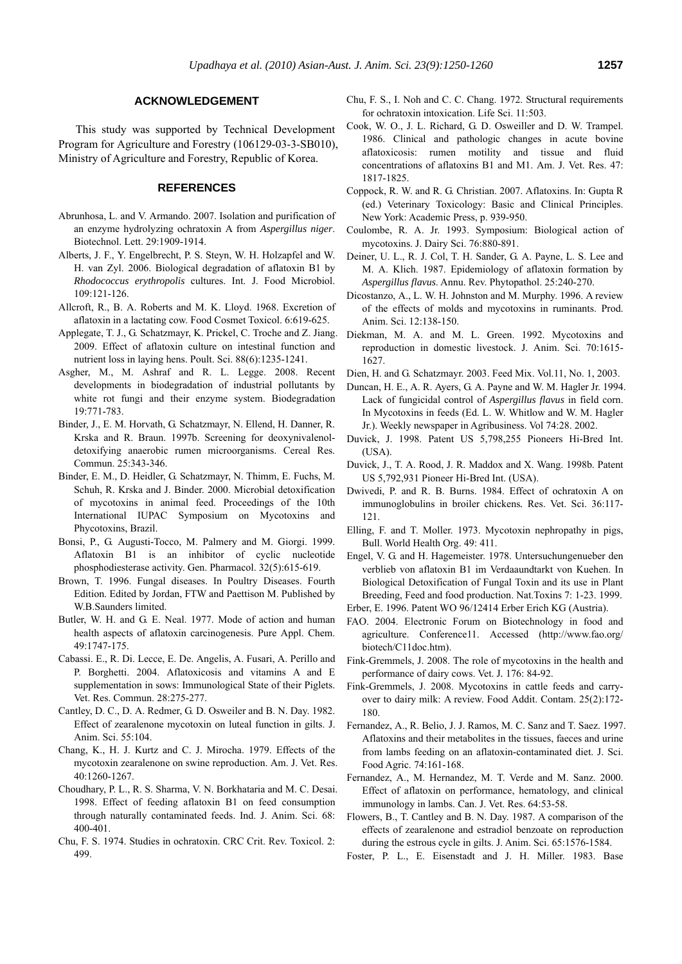### **ACKNOWLEDGEMENT**

This study was supported by Technical Development Program for Agriculture and Forestry (106129-03-3-SB010), Ministry of Agriculture and Forestry, Republic of Korea.

### **REFERENCES**

- Abrunhosa, L. and V. Armando. 2007. Isolation and purification of an enzyme hydrolyzing ochratoxin A from *Aspergillus niger*. Biotechnol. Lett. 29:1909-1914.
- Alberts, J. F., Y. Engelbrecht, P. S. Steyn, W. H. Holzapfel and W. H. van Zyl. 2006. Biological degradation of aflatoxin B1 by *Rhodococcus erythropolis* cultures. Int. J. Food Microbiol. 109:121-126.
- Allcroft, R., B. A. Roberts and M. K. Lloyd. 1968. Excretion of aflatoxin in a lactating cow. Food Cosmet Toxicol. 6:619-625.
- Applegate, T. J., G. Schatzmayr, K. Prickel, C. Troche and Z. Jiang. 2009. Effect of aflatoxin culture on intestinal function and nutrient loss in laying hens. Poult. Sci. 88(6):1235-1241.
- Asgher, M., M. Ashraf and R. L. Legge. 2008. Recent developments in biodegradation of industrial pollutants by white rot fungi and their enzyme system. Biodegradation 19:771-783.
- Binder, J., E. M. Horvath, G. Schatzmayr, N. Ellend, H. Danner, R. Krska and R. Braun. 1997b. Screening for deoxynivalenoldetoxifying anaerobic rumen microorganisms. Cereal Res. Commun. 25:343-346.
- Binder, E. M., D. Heidler, G. Schatzmayr, N. Thimm, E. Fuchs, M. Schuh, R. Krska and J. Binder. 2000. Microbial detoxification of mycotoxins in animal feed. Proceedings of the 10th International IUPAC Symposium on Mycotoxins and Phycotoxins, Brazil.
- Bonsi, P., G. Augusti-Tocco, M. Palmery and M. Giorgi. 1999. Aflatoxin B1 is an inhibitor of cyclic nucleotide phosphodiesterase activity. Gen. Pharmacol. 32(5):615-619.
- Brown, T. 1996. Fungal diseases. In Poultry Diseases. Fourth Edition. Edited by Jordan, FTW and Paettison M. Published by W.B.Saunders limited.
- Butler, W. H. and G. E. Neal. 1977. Mode of action and human health aspects of aflatoxin carcinogenesis. Pure Appl. Chem. 49:1747-175.
- Cabassi. E., R. Di. Lecce, E. De. Angelis, A. Fusari, A. Perillo and P. Borghetti. 2004. Aflatoxicosis and vitamins A and E supplementation in sows: Immunological State of their Piglets. Vet. Res. Commun. 28:275-277.
- Cantley, D. C., D. A. Redmer, G. D. Osweiler and B. N. Day. 1982. Effect of zearalenone mycotoxin on luteal function in gilts. J. Anim. Sci. 55:104.
- Chang, K., H. J. Kurtz and C. J. Mirocha. 1979. Effects of the mycotoxin zearalenone on swine reproduction. Am. J. Vet. Res. 40:1260-1267.
- Choudhary, P. L., R. S. Sharma, V. N. Borkhataria and M. C. Desai. 1998. Effect of feeding aflatoxin B1 on feed consumption through naturally contaminated feeds. Ind. J. Anim. Sci. 68: 400-401.
- Chu, F. S. 1974. Studies in ochratoxin. CRC Crit. Rev. Toxicol. 2: 499.
- Chu, F. S., I. Noh and C. C. Chang. 1972. Structural requirements for ochratoxin intoxication. Life Sci. 11:503.
- Cook, W. O., J. L. Richard, G. D. Osweiller and D. W. Trampel. 1986. Clinical and pathologic changes in acute bovine aflatoxicosis: rumen motility and tissue and fluid concentrations of aflatoxins B1 and M1. Am. J. Vet. Res. 47: 1817-1825.
- Coppock, R. W. and R. G. Christian. 2007. Aflatoxins. In: Gupta R (ed.) Veterinary Toxicology: Basic and Clinical Principles. New York: Academic Press, p. 939-950.
- Coulombe, R. A. Jr. 1993. Symposium: Biological action of mycotoxins. J. Dairy Sci. 76:880-891.
- Deiner, U. L., R. J. Col, T. H. Sander, G. A. Payne, L. S. Lee and M. A. Klich. 1987. Epidemiology of aflatoxin formation by *Aspergillus flavus*. Annu. Rev. Phytopathol. 25:240-270.
- Dicostanzo, A., L. W. H. Johnston and M. Murphy. 1996. A review of the effects of molds and mycotoxins in ruminants. Prod. Anim. Sci. 12:138-150.
- Diekman, M. A. and M. L. Green. 1992. Mycotoxins and reproduction in domestic livestock. J. Anim. Sci. 70:1615- 1627.
- Dien, H. and G. Schatzmayr. 2003. Feed Mix. Vol.11, No. 1, 2003.
- Duncan, H. E., A. R. Ayers, G. A. Payne and W. M. Hagler Jr. 1994. Lack of fungicidal control of *Aspergillus flavus* in field corn. In Mycotoxins in feeds (Ed. L. W. Whitlow and W. M. Hagler Jr.). Weekly newspaper in Agribusiness. Vol 74:28. 2002.
- Duvick, J. 1998. Patent US 5,798,255 Pioneers Hi-Bred Int. (USA).
- Duvick, J., T. A. Rood, J. R. Maddox and X. Wang. 1998b. Patent US 5,792,931 Pioneer Hi-Bred Int. (USA).
- Dwivedi, P. and R. B. Burns. 1984. Effect of ochratoxin A on immunoglobulins in broiler chickens*.* Res. Vet. Sci. 36:117- 121.
- Elling, F. and T. Moller. 1973. Mycotoxin nephropathy in pigs, Bull. World Health Org. 49: 411.
- Engel, V. G. and H. Hagemeister. 1978. Untersuchungenueber den verblieb von aflatoxin B1 im Verdaaundtarkt von Kuehen. In Biological Detoxification of Fungal Toxin and its use in Plant Breeding, Feed and food production. Nat.Toxins 7: 1-23. 1999.
- Erber, E. 1996. Patent WO 96/12414 Erber Erich KG (Austria).
- FAO. 2004. Electronic Forum on Biotechnology in food and agriculture. Conference11. Accessed (http://www.fao.org/ biotech/C11doc.htm).
- Fink-Gremmels, J. 2008. The role of mycotoxins in the health and performance of dairy cows. Vet. J*.* 176: 84-92.
- Fink-Gremmels, J. 2008. Mycotoxins in cattle feeds and carryover to dairy milk: A review. Food Addit. Contam. 25(2):172- 180.
- Fernandez, A., R. Belio, J. J. Ramos, M. C. Sanz and T. Saez. 1997. Aflatoxins and their metabolites in the tissues, faeces and urine from lambs feeding on an aflatoxin-contaminated diet. J. Sci. Food Agric. 74:161-168.
- Fernandez, A., M. Hernandez, M. T. Verde and M. Sanz. 2000. Effect of aflatoxin on performance, hematology, and clinical immunology in lambs. Can. J. Vet. Res. 64:53-58.
- Flowers, B., T. Cantley and B. N. Day. 1987. A comparison of the effects of zearalenone and estradiol benzoate on reproduction during the estrous cycle in gilts. J. Anim. Sci. 65:1576-1584.
- Foster, P. L., E. Eisenstadt and J. H. Miller. 1983. Base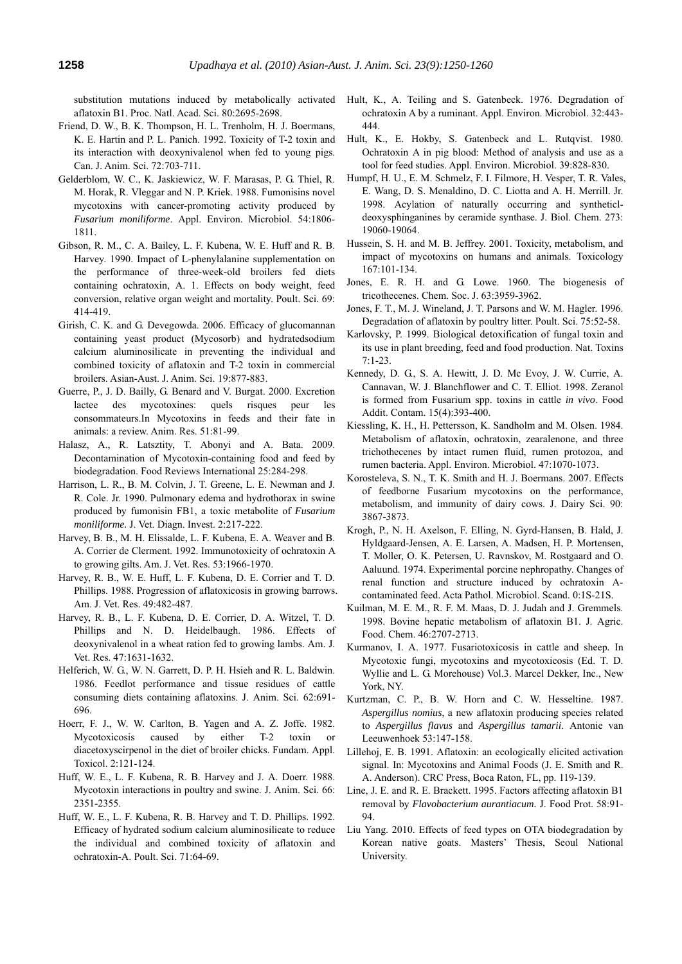substitution mutations induced by metabolically activated aflatoxin B1. Proc. Natl. Acad. Sci. 80:2695-2698.

- Friend, D. W., B. K. Thompson, H. L. Trenholm, H. J. Boermans, K. E. Hartin and P. L. Panich. 1992. Toxicity of T-2 toxin and its interaction with deoxynivalenol when fed to young pigs. Can. J. Anim. Sci. 72:703-711.
- Gelderblom, W. C., K. Jaskiewicz, W. F. Marasas, P. G. Thiel, R. M. Horak, R. Vleggar and N. P. Kriek. 1988. Fumonisins novel mycotoxins with cancer-promoting activity produced by *Fusarium moniliforme*. Appl. Environ. Microbiol. 54:1806- 1811.
- Gibson, R. M., C. A. Bailey, L. F. Kubena, W. E. Huff and R. B. Harvey. 1990. Impact of L-phenylalanine supplementation on the performance of three-week-old broilers fed diets containing ochratoxin, A. 1. Effects on body weight, feed conversion, relative organ weight and mortality. Poult. Sci. 69: 414-419.
- Girish, C. K. and G. Devegowda. 2006. Efficacy of glucomannan containing yeast product (Mycosorb) and hydratedsodium calcium aluminosilicate in preventing the individual and combined toxicity of aflatoxin and T-2 toxin in commercial broilers. Asian-Aust. J. Anim. Sci. 19:877-883.
- Guerre, P., J. D. Bailly, G. Benard and V. Burgat. 2000. Excretion lactee des mycotoxines: quels risques peur les consommateurs.In Mycotoxins in feeds and their fate in animals: a review. Anim. Res. 51:81-99.
- Halasz, A., R. Latsztity, T. Abonyi and A. Bata. 2009. Decontamination of Mycotoxin-containing food and feed by biodegradation. Food Reviews International 25:284-298.
- Harrison, L. R., B. M. Colvin, J. T. Greene, L. E. Newman and J. R. Cole. Jr. 1990. Pulmonary edema and hydrothorax in swine produced by fumonisin FB1, a toxic metabolite of *Fusarium moniliforme.* J. Vet. Diagn. Invest. 2:217-222.
- Harvey, B. B., M. H. Elissalde, L. F. Kubena, E. A. Weaver and B. A. Corrier de Clerment. 1992. Immunotoxicity of ochratoxin A to growing gilts. Am. J. Vet. Res. 53:1966-1970.
- Harvey, R. B., W. E. Huff, L. F. Kubena, D. E. Corrier and T. D. Phillips. 1988. Progression of aflatoxicosis in growing barrows. Am. J. Vet. Res. 49:482-487.
- Harvey, R. B., L. F. Kubena, D. E. Corrier, D. A. Witzel, T. D. Phillips and N. D. Heidelbaugh. 1986. Effects of deoxynivalenol in a wheat ration fed to growing lambs. Am. J. Vet. Res. 47:1631-1632.
- Helferich, W. G., W. N. Garrett, D. P. H. Hsieh and R. L. Baldwin. 1986. Feedlot performance and tissue residues of cattle consuming diets containing aflatoxins. J. Anim. Sci. 62:691- 696.
- Hoerr, F. J., W. W. Carlton, B. Yagen and A. Z. Joffe. 1982. Mycotoxicosis caused by either T-2 toxin or diacetoxyscirpenol in the diet of broiler chicks. Fundam. Appl. Toxicol. 2:121-124.
- Huff, W. E., L. F. Kubena, R. B. Harvey and J. A. Doerr. 1988. Mycotoxin interactions in poultry and swine. J. Anim. Sci. 66: 2351-2355.
- Huff, W. E., L. F. Kubena, R. B. Harvey and T. D. Phillips. 1992. Efficacy of hydrated sodium calcium aluminosilicate to reduce the individual and combined toxicity of aflatoxin and ochratoxin-A. Poult. Sci. 71:64-69.
- Hult, K., A. Teiling and S. Gatenbeck. 1976. Degradation of ochratoxin A by a ruminant. Appl. Environ. Microbiol. 32:443- 444.
- Hult, K., E. Hokby, S. Gatenbeck and L. Rutqvist. 1980. Ochratoxin A in pig blood: Method of analysis and use as a tool for feed studies. Appl. Environ. Microbiol. 39:828-830.
- Humpf, H. U., E. M. Schmelz, F. I. Filmore, H. Vesper, T. R. Vales, E. Wang, D. S. Menaldino, D. C. Liotta and A. H. Merrill. Jr. 1998. Acylation of naturally occurring and syntheticldeoxysphinganines by ceramide synthase. J. Biol. Chem. 273: 19060-19064.
- Hussein, S. H. and M. B. Jeffrey. 2001. Toxicity, metabolism, and impact of mycotoxins on humans and animals. Toxicology 167:101-134.
- Jones, E. R. H. and G. Lowe. 1960. The biogenesis of tricothecenes. Chem. Soc. J. 63:3959-3962.
- Jones, F. T., M. J. Wineland, J. T. Parsons and W. M. Hagler. 1996. Degradation of aflatoxin by poultry litter. Poult. Sci. 75:52-58.
- Karlovsky, P. 1999. Biological detoxification of fungal toxin and its use in plant breeding, feed and food production. Nat. Toxins  $7.1 - 23$
- Kennedy, D. G., S. A. Hewitt, J. D. Mc Evoy, J. W. Currie, A. Cannavan, W. J. Blanchflower and C. T. Elliot. 1998. Zeranol is formed from Fusarium spp. toxins in cattle *in vivo*. Food Addit. Contam. 15(4):393-400.
- Kiessling, K. H., H. Pettersson, K. Sandholm and M. Olsen. 1984. Metabolism of aflatoxin, ochratoxin, zearalenone, and three trichothecenes by intact rumen fluid, rumen protozoa, and rumen bacteria. Appl. Environ. Microbiol. 47:1070-1073.
- Korosteleva, S. N., T. K. Smith and H. J. Boermans. 2007. Effects of feedborne Fusarium mycotoxins on the performance, metabolism, and immunity of dairy cows. J. Dairy Sci. 90: 3867-3873.
- Krogh, P., N. H. Axelson, F. Elling, N. Gyrd-Hansen, B. Hald, J. Hyldgaard-Jensen, A. E. Larsen, A. Madsen, H. P. Mortensen, T. Moller, O. K. Petersen, U. Ravnskov, M. Rostgaard and O. Aaluund. 1974. Experimental porcine nephropathy. Changes of renal function and structure induced by ochratoxin Acontaminated feed. Acta Pathol. Microbiol. Scand. 0:1S-21S.
- Kuilman, M. E. M., R. F. M. Maas, D. J. Judah and J. Gremmels. 1998. Bovine hepatic metabolism of aflatoxin B1. J. Agric. Food. Chem. 46:2707-2713.
- Kurmanov, I. A. 1977. Fusariotoxicosis in cattle and sheep*.* In Mycotoxic fungi, mycotoxins and mycotoxicosis (Ed. T. D. Wyllie and L. G. Morehouse) Vol.3. Marcel Dekker, Inc., New York, NY.
- Kurtzman, C. P., B. W. Horn and C. W. Hesseltine. 1987. *Aspergillus nomius*, a new aflatoxin producing species related to *Aspergillus flavus* and *Aspergillus tamarii*. Antonie van Leeuwenhoek 53:147-158.
- Lillehoj, E. B. 1991. Aflatoxin: an ecologically elicited activation signal. In: Mycotoxins and Animal Foods (J. E. Smith and R. A. Anderson). CRC Press, Boca Raton, FL, pp. 119-139.
- Line, J. E. and R. E. Brackett. 1995. Factors affecting aflatoxin B1 removal by *Flavobacterium aurantiacum.* J. Food Prot. 58:91- 94.
- Liu Yang. 2010. Effects of feed types on OTA biodegradation by Korean native goats. Masters' Thesis, Seoul National University.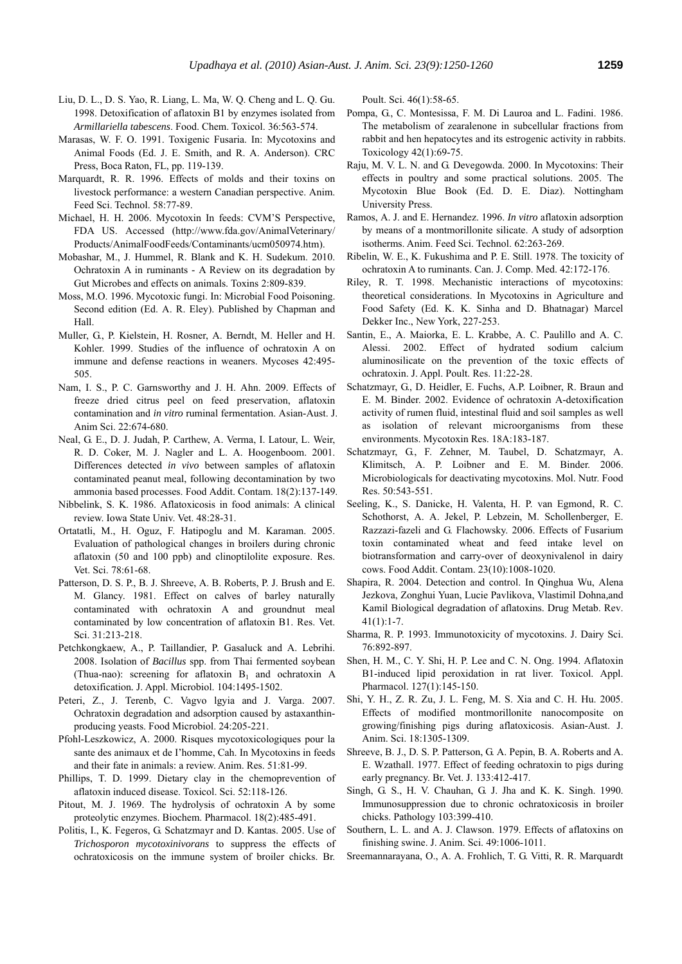- Liu, D. L., D. S. Yao, R. Liang, L. Ma, W. Q. Cheng and L. Q. Gu. 1998. Detoxification of aflatoxin B1 by enzymes isolated from *Armillariella tabescens*. Food. Chem. Toxicol. 36:563-574.
- Marasas, W. F. O. 1991. Toxigenic Fusaria. In: Mycotoxins and Animal Foods (Ed. J. E. Smith, and R. A. Anderson). CRC Press, Boca Raton, FL, pp. 119-139.
- Marquardt, R. R. 1996. Effects of molds and their toxins on livestock performance: a western Canadian perspective. Anim. Feed Sci. Technol. 58:77-89.
- Michael, H. H. 2006. Mycotoxin In feeds: CVM'S Perspective, FDA US. Accessed (http://www.fda.gov/AnimalVeterinary/ Products/AnimalFoodFeeds/Contaminants/ucm050974.htm).
- Mobashar, M., J. Hummel, R. Blank and K. H. Sudekum. 2010. Ochratoxin A in ruminants - A Review on its degradation by Gut Microbes and effects on animals. Toxins 2:809-839.
- Moss, M.O. 1996. Mycotoxic fungi. In: Microbial Food Poisoning. Second edition (Ed. A. R. Eley). Published by Chapman and Hall.
- Muller, G., P. Kielstein, H. Rosner, A. Berndt, M. Heller and H. Kohler. 1999. Studies of the influence of ochratoxin A on immune and defense reactions in weaners. Mycoses 42:495- 505.
- Nam, I. S., P. C. Garnsworthy and J. H. Ahn. 2009. Effects of freeze dried citrus peel on feed preservation, aflatoxin contamination and *in vitro* ruminal fermentation. Asian-Aust. J. Anim Sci. 22:674-680.
- Neal, G. E., D. J. Judah, P. Carthew, A. Verma, I. Latour, L. Weir, R. D. Coker, M. J. Nagler and L. A. Hoogenboom. 2001. Differences detected *in vivo* between samples of aflatoxin contaminated peanut meal, following decontamination by two ammonia based processes. Food Addit. Contam. 18(2):137-149.
- Nibbelink, S. K. 1986. Aflatoxicosis in food animals: A clinical review. Iowa State Univ. Vet. 48:28-31.
- Ortatatli, M., H. Oguz, F. Hatipoglu and M. Karaman. 2005. Evaluation of pathological changes in broilers during chronic aflatoxin (50 and 100 ppb) and clinoptilolite exposure. Res. Vet. Sci. 78:61-68.
- Patterson, D. S. P., B. J. Shreeve, A. B. Roberts, P. J. Brush and E. M. Glancy. 1981. Effect on calves of barley naturally contaminated with ochratoxin A and groundnut meal contaminated by low concentration of aflatoxin B1. Res. Vet. Sci. 31:213-218.
- Petchkongkaew, A., P. Taillandier, P. Gasaluck and A. Lebrihi. 2008. Isolation of *Bacillus* spp. from Thai fermented soybean (Thua-nao): screening for aflatoxin  $B_1$  and ochratoxin A detoxification*.* J. Appl. Microbiol. 104:1495-1502.
- Peteri, Z., J. Terenb, C. Vagvo lgyia and J. Varga. 2007. Ochratoxin degradation and adsorption caused by astaxanthinproducing yeasts. Food Microbiol. 24:205-221.
- Pfohl-Leszkowicz, A. 2000. Risques mycotoxicologiques pour la sante des animaux et de I'homme, Cah. In Mycotoxins in feeds and their fate in animals: a review. Anim. Res. 51:81-99.
- Phillips, T. D. 1999. Dietary clay in the chemoprevention of aflatoxin induced disease. Toxicol. Sci. 52:118-126.
- Pitout, M. J. 1969. The hydrolysis of ochratoxin A by some proteolytic enzymes. Biochem. Pharmacol. 18(2):485-491.
- Politis, I., K. Fegeros, G. Schatzmayr and D. Kantas. 2005. Use of *Trichosporon mycotoxinivorans* to suppress the effects of ochratoxicosis on the immune system of broiler chicks. Br.

Poult. Sci. 46(1):58-65.

- Pompa, G., C. Montesissa, F. M. Di Lauroa and L. Fadini. 1986. The metabolism of zearalenone in subcellular fractions from rabbit and hen hepatocytes and its estrogenic activity in rabbits. Toxicology 42(1):69-75.
- Raju, M. V. L. N. and G. Devegowda. 2000. In Mycotoxins: Their effects in poultry and some practical solutions. 2005. The Mycotoxin Blue Book (Ed. D. E. Diaz). Nottingham University Press.
- Ramos, A. J. and E. Hernandez. 1996. *In vitro* aflatoxin adsorption by means of a montmorillonite silicate. A study of adsorption isotherms. Anim. Feed Sci. Technol. 62:263-269.
- Ribelin, W. E., K. Fukushima and P. E. Still. 1978. The toxicity of ochratoxin A to ruminants. Can. J. Comp. Med. 42:172-176.
- Riley, R. T. 1998. Mechanistic interactions of mycotoxins: theoretical considerations. In Mycotoxins in Agriculture and Food Safety (Ed. K. K. Sinha and D. Bhatnagar) Marcel Dekker Inc., New York, 227-253.
- Santin, E., A. Maiorka, E. L. Krabbe, A. C. Paulillo and A. C. Alessi. 2002. Effect of hydrated sodium calcium aluminosilicate on the prevention of the toxic effects of ochratoxin. J. Appl. Poult. Res. 11:22-28.
- Schatzmayr, G., D. Heidler, E. Fuchs, A.P. Loibner, R. Braun and E. M. Binder. 2002. Evidence of ochratoxin A-detoxification activity of rumen fluid, intestinal fluid and soil samples as well as isolation of relevant microorganisms from these environments. Mycotoxin Res. 18A:183-187.
- Schatzmayr, G., F. Zehner, M. Taubel, D. Schatzmayr, A. Klimitsch, A. P. Loibner and E. M. Binder. 2006. Microbiologicals for deactivating mycotoxins. Mol. Nutr. Food Res. 50:543-551.
- Seeling, K., S. Danicke, H. Valenta, H. P. van Egmond, R. C. Schothorst, A. A. Jekel, P. Lebzein, M. Schollenberger, E. Razzazi-fazeli and G. Flachowsky. 2006. Effects of Fusarium toxin contaminated wheat and feed intake level on biotransformation and carry-over of deoxynivalenol in dairy cows. Food Addit. Contam. 23(10):1008-1020.
- Shapira, R. 2004. Detection and control. In Qinghua Wu, Alena Jezkova, Zonghui Yuan, Lucie Pavlikova, Vlastimil Dohna*,*and Kamil Biological degradation of aflatoxins. Drug Metab. Rev.  $41(1):1-7.$
- Sharma, R. P. 1993. Immunotoxicity of mycotoxins. J. Dairy Sci. 76:892-897.
- Shen, H. M., C. Y. Shi, H. P. Lee and C. N. Ong. 1994. Aflatoxin B1-induced lipid peroxidation in rat liver. Toxicol. Appl. Pharmacol. 127(1):145-150.
- Shi, Y. H., Z. R. Zu, J. L. Feng, M. S. Xia and C. H. Hu. 2005. Effects of modified montmorillonite nanocomposite on growing/finishing pigs during aflatoxicosis. Asian-Aust. J. Anim. Sci. 18:1305-1309.
- Shreeve, B. J., D. S. P. Patterson, G. A. Pepin, B. A. Roberts and A. E. Wzathall. 1977. Effect of feeding ochratoxin to pigs during early pregnancy. Br. Vet. J. 133:412-417.
- Singh, G. S., H. V. Chauhan, G. J. Jha and K. K. Singh. 1990. Immunosuppression due to chronic ochratoxicosis in broiler chicks. Pathology 103:399-410.
- Southern, L. L. and A. J. Clawson. 1979. Effects of aflatoxins on finishing swine. J. Anim. Sci. 49:1006-1011.
- Sreemannarayana, O., A. A. Frohlich, T. G. Vitti, R. R. Marquardt